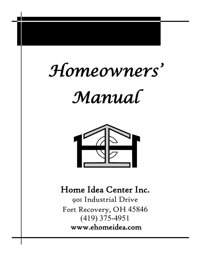# *Homeowners'*

## *Manual*



### Home Idea Center Inc.

901 Industrial Drive Fort Recovery, OH (419) 375-4951 www.ehomeidea.com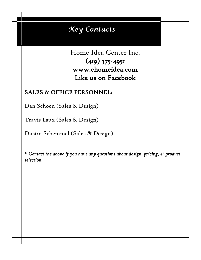### *Key Contacts*

Home Idea Center Inc. (419) 375-4951 www.ehomeidea.com Like us on Facebook

#### SALES & OFFICE PERSONNEL:

Dan Schoen (Sales & Design)

Travis Laux (Sales & Design)

Dustin Schemmel (Sales & Design)

*\* Contact the above if you have any questions about design, pricing, & product selection.*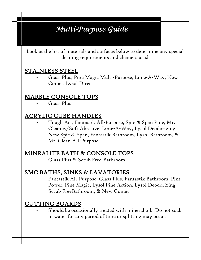### *Multi-Purpose Guide*

Look at the list of materials and surfaces below to determine any special cleaning requirements and cleaners used.

#### STAINLESS STEEL

Glass Plus, Pine Magic Multi-Purpose, Lime-A-Way, New Comet, Lysol Direct

#### MARBLE CONSOLE TOPS

Glass Plus

#### ACRYLIC CUBE HANDLES

Tough Act, Fantastik All-Purpose, Spic & Span Pine, Mr. Clean w/Soft Abrasive, Lime-A-Way, Lysol Deodorizing, New Spic & Span, Fantastik Bathroom, Lysol Bathroom, & Mr. Clean All-Purpose.

#### MINRALITE BATH & CONSOLE TOPS

- Glass Plus & Scrub Free-Bathroom

#### SMC BATHS, SINKS & LAVATORIES

- Fantastik All-Purpose, Glass Plus, Fantastik Bathroom, Pine Power, Pine Magic, Lysol Pine Action, Lysol Deodorizing, Scrub FreeBathroom, & New Comet

#### CUTTING BOARDS

Should be occasionally treated with mineral oil. Do not soak in water for any period of time or splitting may occur.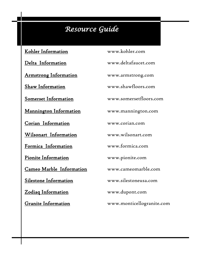### *Resource Guide*

Kohler Information www.kohler.com

Armstrong Information www.armstrong.com

Mannington Information www.mannington.com

Corian Information www.corian.com

Cameo Marble Information www.cameomarble.com

Granite Information www.monticellogranite.com

Delta Information www.deltafaucet.com Shaw Information www.shawfloors.com Somerset Information www.somersetfloors.com Wilsonart Information www.wilsonart.com Formica Information www.formica.com Pionite Information www.pionite.com Silestone Information www.silestoneusa.com Zodiaq Information www.dupont.com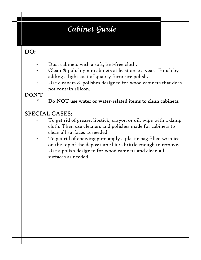### *Cabinet Guide*

#### DO:

- Dust cabinets with a soft, lint-free cloth.
- Clean & polish your cabinets at least once a year. Finish by adding a light coat of quality furniture polish.
- Use cleaners & polishes designed for wood cabinets that does not contain silicon.

#### DON'T

\* Do NOT use water or water-related items to clean cabinets.

#### SPECIAL CASES:

- To get rid of grease, lipstick, crayon or oil, wipe with a damp cloth. Then use cleaners and polishes made for cabinets to clean all surfaces as needed.
- To get rid of chewing gum apply a plastic bag filled with ice on the top of the deposit until it is brittle enough to remove. Use a polish designed for wood cabinets and clean all surfaces as needed.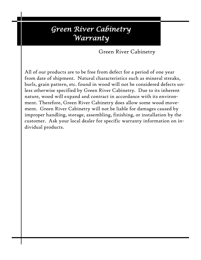### *Green River Cabinetry Warranty*

Green River Cabinetry

All of our products are to be free from defect for a period of one year from date of shipment. Natural characteristics such as mineral streaks, burls, grain pattern, etc. found in wood will not be considered defects unless otherwise specified by Green River Cabinetry. Due to its inherent nature, wood will expand and contract in accordance with its environment. Therefore, Green River Cabinetry does allow some wood movement. Green River Cabinetry will not be liable for damages caused by improper handling, storage, assembling, finishing, or installation by the customer. Ask your local dealer for specific warranty information on individual products.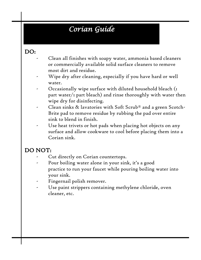### *Corian Guide*

#### DO:

- Clean all finishes with soapy water, ammonia based cleaners or commercially available solid surface cleaners to remove most dirt and residue.
	- Wipe dry after cleaning, especially if you have hard or well water.
- Occasionally wipe surface with diluted household bleach (1) part water/1 part bleach) and rinse thoroughly with water then wipe dry for disinfecting.
- Clean sinks & lavatories with Soft Scrub® and a green Scotch-Brite pad to remove residue by rubbing the pad over entire sink to blend in finish.
- Use heat trivets or hot pads when placing hot objects on any surface and allow cookware to cool before placing them into a Corian sink.

#### DO NOT:

- Cut directly on Corian countertops.
- Pour boiling water alone in your sink, it's a good practice to run your faucet while pouring boiling water into your sink.
- Fingernail polish remover.
- Use paint strippers containing methylene chloride, oven cleaner, etc.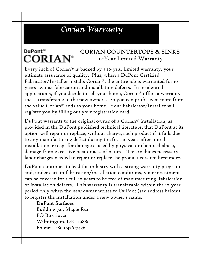### *Corian Warranty*

#### DuPont™ CORIAN COUNTERTOPS & SINKS **CORIAN®** 10-Year Limited Warranty

Every inch of Corian® is backed by a 10-year limited warranty, your ultimate assurance of quality. Plus, when a DuPont Certified Fabricator/Installer installs Corian®, the entire job is warranted for 10 years against fabrication and installation defects. In residential applications, if you decide to sell your home, Corian® offers a warranty that's transferable to the new owners. So you can profit even more from the value Corian® adds to your home. Your Fabricator/Installer will register you by filling out your registration card.

DuPont warrants to the original owner of a Corian® installation, as provided in the DuPont published technical literature, that DuPont at its option will repair or replace, without charge, such product if it fails due to any manufacturing defect during the first 10 years after initial installation, except for damage caused by physical or chemical abuse, damage from excessive heat or acts of nature. This includes necessary labor charges needed to repair or replace the product covered hereunder.

DuPont continues to lead the industry with a strong warranty program and, under certain fabrication/installation conditions, your investment can be covered for a full 10 years to be free of manufacturing, fabrication or installation defects. This warranty is transferable within the 10-year period only when the new owner writes to DuPont (see address below) to register the installation under a new owner's name.

#### DuPont Surfaces

 Building 721, Maple Run PO Box 80721 Wilmington, DE 19880 Phone: 1-800-426-7426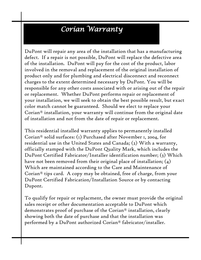### *Corian Warranty*

DuPont will repair any area of the installation that has a manufacturing defect. If a repair is not possible, DuPont will replace the defective area of the installation. DuPont will pay for the cost of the product, labor involved in the removal and replacement of the original installation of product only and for plumbing and electrical disconnect and reconnect charges to the extent determined necessary by DuPont. You will be responsible for any other costs associated with or arising out of the repair or replacement. Whether DuPont performs repair or replacement of your installation, we will seek to obtain the best possible result, but exact color match cannot be guaranteed. Should we elect to replace your Corian® installation, your warranty will continue from the original date of installation and not from the date of repair or replacement.

This residential installed warranty applies to permanently installed Corian® solid surfaces: (1) Purchased after November 1, 2004, for residential use in the United States and Canada; (2) With a warranty, officially stamped with the DuPont Quality Mark, which includes the DuPont Certified Fabricator/Installer identification number; (3) Which have not been removed from their original place of installation;  $(4)$ Which are maintained according to the Care and Maintenance of Corian® tips card. A copy may be obtained, free of charge, from your DuPont Certified Fabrication/Installation Source or by contacting Dupont.

To qualify for repair or replacment, the owner must provide the original sales receipt or other documentation acceptable to DuPont which demonstrates proof of purchase of the Corian® installation, clearly showing both the date of purchase and that the installation was performed by a DuPont authorized Corian® fabricator/installer.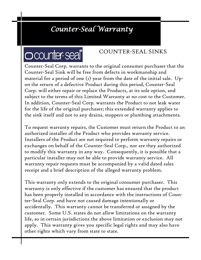### *Counter-Seal Warranty*

## **Occunter-seal**

#### COUNTER-SEAL SINKS

Counter-Seal Corp. warrants to the original consumer purchaser that the Counter-Seal Sink will be free from defects in workmanship and material for a period of one (1) year from the date of the initial sale. Upon the return of a defective Product during this period, Counter-Seal Corp. will either repair or replace the Products, at its sole option, and subject to the terms of this Limited Warranty at no cost to the Customer. In addition, Counter-Seal Corp. warrants the Product to not leak water for the life of the original purchaser; this extended warranty applies to the sink itself and not to any drains, stoppers or plumbing attachments.

To request warranty repairs, the Customer must return the Product to an authorized installer of the Product who provides warranty service. Installers of the Product are not required to perform warranty repairs or exchanges on behalf of the Counter-Seal Corp., nor are they authorized to modify this warranty in any way. Consequently, it is possible that a particular installer may not be able to provide warranty service. All warranty repair requests must be accompanied by a valid dated sales receipt and a brief description of the alleged warranty problem.

This warranty only extends to the original consumer purchaser. This warranty is only effective if the customer has ensured that the product has been properly installed in accordance with the instructions of Counter-Seal Corp. and have not caused damage intentionally or accidentally. This warranty cannot be transferred or assigned by the customer. Some U.S. states do not allow limitations on the warranty life, so in certain jurisdictions the above limitation or exclusion may not apply. This warranty gives you specific legal rights and may also have other rights which vary from state to state.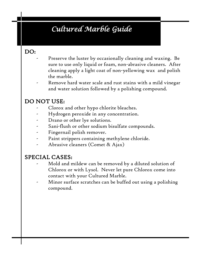### *Cultured Marble Guide*

#### DO:

- Preserve the luster by occasionally cleaning and waxing. Be sure to use only liquid or foam, non-abrasive cleaners. After cleaning apply a light coat of non-yellowing wax and polish the marble.
- Remove hard water scale and rust stains with a mild vinegar and water solution followed by a polishing compound.

#### DO NOT USE:

- Clorox and other hypo chlorite bleaches.
- Hydrogen peroxide in any concentration.
- Drano or other lye solutions.
- Sani-flush or other sodium bisulfate compounds.
- Fingernail polish remover.
- Paint strippers containing methylene chloride.
- Abrasive cleaners (Comet & Ajax)

#### SPECIAL CASES:

- Mold and mildew can be removed by a diluted solution of Chlorox or with Lysol. Never let pure Chlorox come into contact with your Cultured Marble.
- Minor surface scratches can be buffed out using a polishing compound.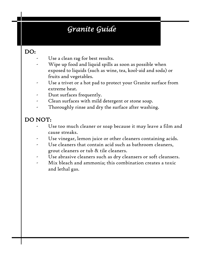### *Granite Guide*

#### DO:

- Use a clean rag for best results.
- Wipe up food and liquid spills as soon as possible when exposed to liquids (such as wine, tea, kool-aid and soda) or fruits and vegetables.
- Use a trivet or a hot pad to protect your Granite surface from extreme heat.
- Dust surfaces frequently.
- Clean surfaces with mild detergent or stone soap.
- Thoroughly rinse and dry the surface after washing.

#### DO NOT:

- Use too much cleaner or soap because it may leave a film and cause streaks.
- Use vinegar, lemon juice or other cleaners containing acids.
- Use cleaners that contain acid such as bathroom cleaners, grout cleaners or tub & tile cleaners.
- Use abrasive cleaners such as dry cleansers or soft cleansers.
- Mix bleach and ammonia; this combination creates a toxic and lethal gas.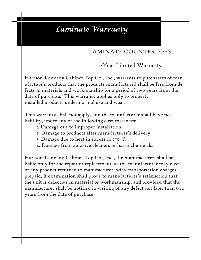### *Laminate Warranty*

#### LAMINATE COUNTERTOPS

2-Year Limited Warranty

Hartson-Kennedy Cabinet Top Co., Inc., warrants to purchasers of manufacture's products that the products manufactured shall be free from defects in materials and workmanship for a period of two years from the date of purchase. This warranty applies only to properly installed products under normal use and wear.

This warranty shall not apply, and the manufacturer shall have no liability, under any of the following circumstances:

- 1. Damage due to improper installation.
- 2. Damage to products after manufacturer's delivery.
- 3. Damage due to heat in excess of 275˚F.
- 4. Damage from abrasive cleaners or harsh chemicals.

Hartson-Kennedy Cabinet Top Co., Inc., the manufacturer, shall be liable only for the repair or replacement, as the manufacturer may elect, of any product returned to manufacturer, with transportation charges prepaid, if examination shall prove to manufacturer's satisfaction that the unit is defective in material or workmanship, and provided that the manufacturer shall be notified in writing of any defect not later than two years from the date of purchase.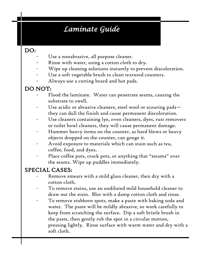### *Laminate Guide*

#### DO:

- Use a nonabrasive, all purpose cleaner.
- Rinse with water, using a cotton cloth to dry.
- Wipe up cleaning solutions instantly to prevent discoloration.
- Use a soft vegetable brush to clean textured counters.
- Always use a cutting board and hot pads.

### DO NOT:

- Flood the laminate. Water can penetrate seams, causing the substrate to swell.
- Use acidic or abrasive cleaners, steel wool or scouring padsthey can dull the finish and cause permanent discoloration.
- Use cleaners containing lye, oven cleaners, dyes, rust removers or toilet bowl cleaners, they will cause permanent damage.
- Hammer heavy items on the counter, as hard blows or heavy objects dropped on the counter, can gouge it.
- Avoid exposure to materials which can stain such as tea, coffee, food, and dyes.
- Place coffee pots, crock pots, or anything that "steams" over the seams. Wipe up puddles immediately.

#### SPECIAL CASES:

- Remove smears with a mild glass cleaner, then dry with a cotton cloth.
- To remove stains, use an undiluted mild household cleaner to draw out the stain. Blot with a damp cotton cloth and rinse.
- To remove stubborn spots, make a paste with baking soda and water. The paste will be mildly abrasive, so work carefully to keep from scratching the surface. Dip a soft bristle brush in the paste, then gently rub the spot in a circular motion, pressing lightly. Rinse surface with warm water and dry with a soft cloth.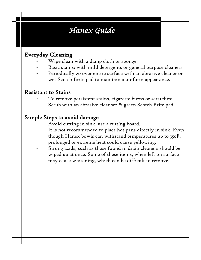### *Hanex Guide*

#### Everyday Cleaning

- Wipe clean with a damp cloth or sponge
- Basic stains: with mild detergents or general purpose cleaners
- Periodically go over entire surface with an abrasive cleaner or wet Scotch Brite pad to maintain a uniform appearance.

#### Resistant to Stains

To remove persistent stains, cigarette burns or scratches: Scrub with an abrasive cleanser & green Scotch Brite pad.

#### Simple Steps to avoid damage

- Avoid cutting in sink, use a cutting board.
- It is not recommended to place hot pans directly in sink. Even though Hanex bowls can withstand temperatures up to 350F, prolonged or extreme heat could cause yellowing.
- Strong acids, such as those found in drain cleaners should be wiped up at once. Some of these items, when left on surface may cause whitening, which can be difficult to remove.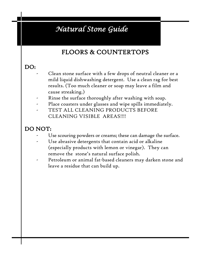### *Natural Stone Guide*

### FLOORS & COUNTERTOPS

#### DO:

- Clean stone surface with a few drops of neutral cleaner or a mild liquid dishwashing detergent. Use a clean rag for best results. (Too much cleaner or soap may leave a film and cause streaking.)
- Rinse the surface thoroughly after washing with soap.
- Place coasters under glasses and wipe spills immediately.
- TEST ALL CLEANING PRODUCTS BEFORE CLEANING VISIBLE AREAS!!!!

#### DO NOT:

- Use scouring powders or creams; these can damage the surface.
- Use abrasive detergents that contain acid or alkaline (especially products with lemon or vinegar). They can remove the stone's natural surface polish.
- Petroleum or animal fat-based cleaners may darken stone and leave a residue that can build up.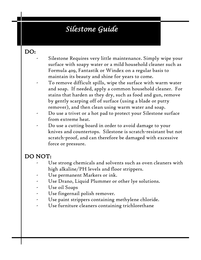### *Silestone Guide*

#### DO:

- Silestone Requires very little maintenance. Simply wipe your surface with soapy water or a mild household cleaner such as Formula 409, Fantastik or Windex on a regular basis to maintain its beauty and shine for years to come.
- To remove difficult spills, wipe the surface with warm water and soap. If needed, apply a common household cleaner. For stains that harden as they dry, such as food and gun, remove by gently scarping off of surface (using a blade or putty remover), and then clean using warm water and soap.
- Do use a trivet or a hot pad to protect your Silestone surface from extreme heat.
- Do use a cutting board in order to avoid damage to your knives and countertops. Silestone is scratch-resistant but not scratch-proof, and can therefore be damaged with excessive force or pressure.

#### DO NOT:

- Use strong chemicals and solvents such as oven cleaners with high alkaline/PH levels and floor strippers.
- Use permanent Markers or ink.
- Use Drano, Liquid Plummer or other lye solutions.
- Use oil Soaps
- Use fingernail polish remover.
- Use paint strippers containing methylene chloride.
- Use furniture cleaners containing trichlorethane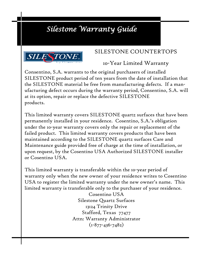### *Silestone Warranty Guide*



#### SILESTONE COUNTERTOPS

10-Year Limited Warranty

Consentino, S.A. warrants to the original purchasers of installed SILESTONE product period of ten years from the date of installation that the SILESTONE material be free from manufacturing defects. If a manufacturing defect occurs during the warranty period, Consentino, S.A. will at its option, repair or replace the defective SILESTONE products.

This limited warranty covers SILESTONE quartz surfaces that have been permanently installed in your residence. Cosentino, S.A.'s obligation under the 10-year warranty covers only the repair or replacement of the failed product. This limited warranty covers products that have been maintained according to the SILESTONE quartz surfaces Care and Maintenance guide provided free of charge at the time of installation, or upon request, by the Cosentino USA Authorized SILESTONE installer or Cosentino USA.

This limited warranty is transferable within the 10-year period of warranty only when the new owner of your residence writes to Cosentino USA to register the limited warranty under the new owner's name. This limited warranty is transferable only to the purchaser of your residence.

> Cosentino USA Silestone Quartz Surfaces 13124 Trinity Drive Stafford, Texas 77477 Attn: Warranty Administrator  $(1 - 877 - 436 - 7482)$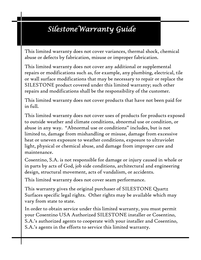### *SilestoneWarranty Guide*

This limited warranty does not cover variances, thermal shock, chemical abuse or defects by fabrication, misuse or improper fabrication.

This limited warranty does not cover any additional or supplemental repairs or modifications such as, for example, any plumbing, electrical, tile or wall surface modifications that may be necessary to repair or replace the SILESTONE product covered under this limited warranty; such other repairs and modifications shall be the responsibility of the customer.

This limited warranty does not cover products that have not been paid for in full.

This limited warranty does not cover uses of products for products exposed to outside weather and climate conditions, abnormal use or condition, or abuse in any way. "Abnormal use or conditions" includes, but is not limited to, damage from mishandling or misuse, damage from excessive heat or uneven exposure to weather conditions, exposure to ultraviolet light, physical or chemical abuse, and damage from improper care and maintenance.

Cosentino, S.A. is not responsible for damage or injury caused in whole or in parts by acts of God, job side conditions, architectural and engineering design, structural movement, acts of vandalism, or accidents.

This limited warranty does not cover seam performance.

This warranty gives the original purchaser of SILESTONE Quartz Surfaces specific legal rights. Other rights may be available which may vary from state to state.

In order to obtain service under this limited warranty, you must permit your Cosentino USA Authorized SILESTONE installer or Cosentino, S.A.'s authorized agents to cooperate with your installer and Cosentino, S.A.'s agents in the efforts to service this limited warranty.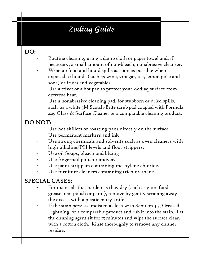### *Zodiaq Guide*

#### DO:

- Routine cleaning, using a damp cloth or paper towel and, if necessary, a small amount of non-bleach, nonabrasive cleanser.
- Wipe up food and liquid spills as soon as possible when exposed to liquids (such as wine, vinegar, tea, lemon juice and soda) or fruits and vegetables.
- Use a trivet or a hot pad to protect your Zodiaq surface from extreme heat.
- Use a nonabrasive cleaning pad, for stubborn or dried spills, such as a white 3M Scotch-Brite scrub pad coupled with Formula 409 Glass & Surface Cleaner or a comparable cleaning product.

#### DO NOT:

- Use hot skillets or roasting pans directly on the surface.
- Use permanent markers and ink
- Use strong chemicals and solvents such as oven cleaners with high alkaline/PH levels and floor strippers.
- Use oil Soaps, bleach and bluing
- Use fingernail polish remover.
- Use paint strippers containing methylene chloride.
- Use furniture cleaners containing trichlorethane

#### SPECIAL CASES:

- For materials that harden as they dry (such as gum, food, grease, nail polish or paint), remove by gently scraping away the excess with a plastic putty knife
- If the stain persists, moisten a cloth with Sanitem 313, Greased Lightning, or a comparable product and rub it into the stain. Let the cleaning agent sit for 15 minutes and wipe the surface clean with a cotton cloth. Rinse thoroughly to remove any cleaner residue.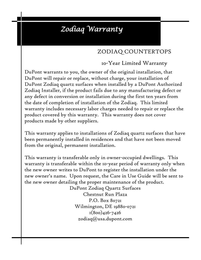### *Zodiaq Warranty*

#### ZODIAQ COUNTERTOPS

#### 10-Year Limited Warranty

DuPont warrants to you, the owner of the original installation, that DuPont will repair or replace, without charge, your installation of DuPont Zodiaq quartz surfaces when installed by a DuPont Authorized Zodiaq Installer, if the product fails due to any manufacturing defect or any defect in conversion or installation during the first ten years from the date of completion of installation of the Zodiaq. This limited warranty includes necessary labor charges needed to repair or replace the product covered by this warranty. This warranty does not cover products made by other suppliers.

This warranty applies to installations of Zodiaq quartz surfaces that have been permanently installed in residences and that have not been moved from the original, permanent installation.

This warranty is transferable only in owner-occupied dwellings. This warranty is transferable within the 10-year period of warranty only when the new owner writes to DuPont to register the installation under the new owner's name. Upon request, the Care in Use Guide will be sent to the new owner detailing the proper maintenance of the product.

DuPont Zodiaq Quartz Surfaces Chestnut Run Plaza P.O. Box 80721 Wilmington, DE 19880-0721 1(800)426-7426 zodiaq@usa.dupont.com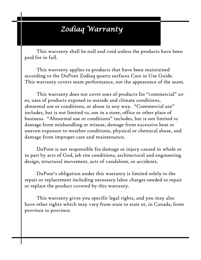### *Zodiaq Warranty*

This warranty shall be null and void unless the products have been paid for in full.

This warranty applies to products that have been maintained according to the DuPont Zodiaq quartz surfaces Care in Use Guide. This warranty covers seam performance, not the appearance of the seam.

This warranty does not cover uses of products for "commercial" uses, uses of products exposed to outside and climate conditions, abnormal use or conditions, or abuse in any way. "Commercial use" includes, but is not limited to, use in a store, office or other place of business. "Abnormal use or conditions" includes, but is not limited to damage from mishandling or misuse, damage from excessive heat or uneven exposure to weather conditions, physical or chemical abuse, and damage from improper care and maintenance.

DuPont is not responsible fro damage or injury caused in whole or in part by acts of God, job site conditions, architectural and engineering design, structural movement, acts of vandalism, or accidents.

DuPont's obligation under this warranty is limited solely to the repair or replacement including necessary labor charges needed to repair or replace the product covered by this warranty.

This warranty gives you specific legal rights, and you may also have other rights which may vary from state to state or, in Canada, from province to province.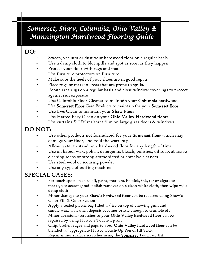### *Somerset, Shaw, Columbia, Ohio Valley & Mannington Hardwood Flooring Guide*

#### DO:

- Sweep, vacuum or dust your hardwood floor on a regular basis
- Use a damp cloth to blot spills and spot as soon as they happen
- Protect your floor with rugs and mats.
- Use furniture protectors on furniture.
- Make sure the heels of your shoes are in good repair.
- Place rugs or mats in areas that are prone to spills.
- Rotate area rugs on a regular basis and close window coverings to protect against sun exposure
- Use Columbia Floor Cleaner to maintain your **Columbia** hardwood
- Use Somerset Floor Care Products to maintain the your Somerset floor
- Use EverClean to maintain your Shaw Floor
- Use Hartco Easy Clean on your Ohio Valley Hardwood floors
- Use curtains  $\&$  UV resistant film on large glass doors  $\&$  windows

#### DO NOT:

- Use other products not formulated for your **Somerset floor** which may damage your floor, and void the warranty
- Allow water to stand on a hardwood floor for any length of time
- Use oil based, wax, polish, detergents, bleach, polishes, oil soap, abrasive cleaning soaps or strong ammoniated or abrasive cleaners
- Use steel wool or scouring powder
- Use any type of buffing machine

#### SPECIAL CASES:

- For touch spots, such as oil, paint, markers, lipstick, ink, tar or cigarette marks, use acetone/nail polish remover on a clean white cloth, then wipe w/ a damp cloth
- Minor damage to your **Shaw's hardwood floor** can be repaired using Shaw's Color Fill & Color Sealant
- Apply a sealed plastic bag filled  $w/$  ice on top of chewing gum and candle wax, wait until deposit becomes brittle enough to crumble off
- Minor abrasions/scratches to your **Ohio Valley hardwood floor** can be repaired by using Hartco's Touch-Up Kit
- Chip, broken edges and gaps to your Ohio Valley hardwood floor can be blended w/ appropriate Hartco Touch-Up Pen or fill Stick
- Repair minor surface scratches using the Somerset Touch-up Kit.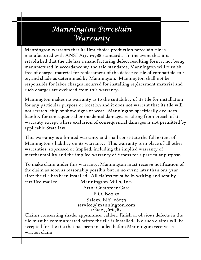### *Mannington Porcelain Warranty*

Mannington warrants that its first choice production porcelain tile is manufactured with ANSI A137.1-1988 standards. In the event that it is established that the tile has a manufacturing defect resulting form it not being manufactured in accordance w/ the said standards, Mannington will furnish, free of charge, material for replacement of the defective tile of compatible color, and shade as determined by Mannington. Mannington shall not be responsible for labor charges incurred for installing replacement material and such charges are excluded from this warranty.

Mannington makes no warranty as to the suitability of its tile for installation for any particular purpose or location and it does not warrant that its tile will not scratch, chip or show signs of wear. Mannington specifically excludes liability for consequential or incidental damages resulting from breach of its warranty except where exclusion of consequential damages is not permitted by applicable State law.

This warranty is a limited warranty and shall constitute the full extent of Mannington's liability on its warranty. This warranty is in place of all other warranties, expressed or implied, including the implied warranty of merchantability and the implied warranty of fitness for a particular purpose.

To make claim under this warranty, Mannington must receive notification of the claim as soon as reasonably possible but in no event later than one year after the tile has been installed. All claims must be in writing and sent by certified mail to: Mannington Mills, Inc.

> Attn: Customer Care P.O. Box 30 Salem, NY 08079 service@mannington.com 1-800-356-6787

Claims concerning shade, appearance, caliber, finish or obvious defects in the tile must be communicated before the tile is installed. No such claims will be accepted for the tile that has been installed before Mannington receives a written claim .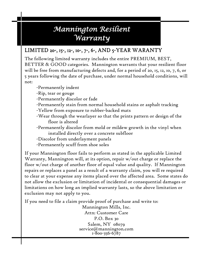### *Mannington Resilient Warranty*

The following limited warranty includes the entire PREMIUM, BEST, BETTER & GOOD categories. Mannington warrants that your resilient floor will be free from manufacturing defects and, for a period of 20, 15, 12, 10, 7, 6, or 5 years following the date of purchase, under normal household conditions, will not:

-Permanently indent

- -Rip, tear or gouge
- -Permanently discolor or fade
- -Permanently stain from normal household stains or asphalt tracking
- -Yellow from exposure to rubber-backed mats
- -Wear through the wearlayer so that the prints pattern or design of the floor is altered
- -Permanently discolor from mold or mildew growth in the vinyl when installed directly over a concrete subfloor
- -Discolor from underlayment panels
- -Permanently scuff from shoe soles

If your Mannington floor fails to perform as stated in the applicable Limited Warranty, Mannington will, at its option, repair w/out charge or replace the floor w/out charge of another floor of equal value and quality. If Mannington repairs or replaces a panel as a result of a warranty claim, you will re required to clear at your expense any items placed over the affected area. Some states do not allow the exclusion or limitation of incidental or consequential damages or limitations on how long an implied warranty lasts, so the above limitation or exclusion may not apply to you.

If you need to file a claim provide proof of purchase and write to:

Mannington Mills, Inc. Attn: Customer Care P.O. Box 30 Salem, NY 08079 service@mannington.com 1-800-356-6787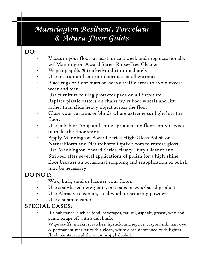### *Mannington Resilient, Porcelain & Adura Floor Guide*

#### DO:

- Vacuum your floor, at least, once a week and mop occasionally w/ Mannington Award Series Rinse-Free Cleaner
- Wipe up spills & tracked-in dirt immediately
- Use interior and exterior doormats at all entrances
- Place rugs or floor mats on heavy traffic areas to avoid excess wear and tear
- Use furniture felt leg protector pads on all furniture
- Replace plastic casters on chairs  $w/$  rubber wheels and lift rather than slide heavy object across the floor
- Close your curtains or blinds where extreme sunlight hits the floor.
- Use polish or "mop and shine" products on floors only if wish to make the floor shiny
- Apply Mannington Award Series High-Gloss Polish on NatureFlorm and NatureForm Optix floors to restore gloss
- Use Mannington Award Series Heavy Duty Cleaner and Stripper after several applications of polish for a high-shine floor because an occasional stripping and reapplication of polish may be necessary

#### DO NOT:

- Wax, buff, sand or lacquer your floors
- Use soap-based detergents, oil soaps or wax-based products
- Use Abrasive cleaners, steel wool, or scouring powder
- Use a steam cleaner

#### SPECIAL CASES:

- If a substance, such as food, beverages, tar, oil, asphalt, grease, wax and paint, scrape off with a dull knife.
- Wipe scuffs, marks, scratches, lipstick, antiseptics, crayon, ink, hair dye & permanent marker with a clean, white cloth dampened with lighter fluid, painters naphtha or isopropyl alcohol.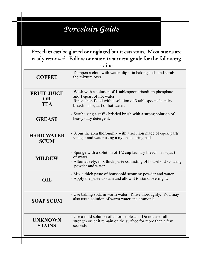### *Porcelain Guide*

Porcelain can be glazed or unglazed but it can stain. Most stains are easily removed. Follow our stain treatment guide for the following

| stains:                                       |                                                                                                                                                                                            |  |
|-----------------------------------------------|--------------------------------------------------------------------------------------------------------------------------------------------------------------------------------------------|--|
| <b>COFFEE</b>                                 | - Dampen a cloth with water, dip it in baking soda and scrub<br>the mixture over.                                                                                                          |  |
| <b>FRUIT JUICE</b><br><b>OR</b><br><b>TEA</b> | - Wash with a solution of 1-tablespoon trisodium phosphate<br>and 1-quart of hot water.<br>- Rinse, then flood with a solution of 3 tablespoons laundry<br>bleach in 1-quart of hot water. |  |
| <b>GREASE</b>                                 | - Scrub using a stiff - bristled brush with a strong solution of<br>heavy duty detergent.                                                                                                  |  |
| <b>HARD WATER</b><br><b>SCUM</b>              | - Scour the area thoroughly with a solution made of equal parts<br>vinegar and water using a nylon scouring pad.                                                                           |  |
| <b>MILDEW</b>                                 | - Sponge with a solution of 1/2 cup laundry bleach in 1-quart<br>of water.<br>- Alternatively, mix thick paste consisting of household scouring<br>powder and water.                       |  |
| OIL                                           | - Mix a thick paste of household scouring powder and water.<br>- Apply the paste to stain and allow it to stand overnight.                                                                 |  |
| <b>SOAP SCUM</b>                              | - Use baking soda in warm water. Rinse thoroughly. You may<br>also use a solution of warm water and ammonia.                                                                               |  |
| <b>UNKNOWN</b><br><b>STAINS</b>               | - Use a mild solution of chlorine bleach. Do not use full<br>strength or let it remain on the surface for more than a few<br>seconds.                                                      |  |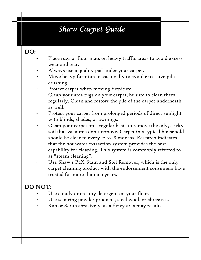### *Shaw Carpet Guide*

#### DO:

- Place rugs or floor mats on heavy traffic areas to avoid excess wear and tear.
- Always use a quality pad under your carpet.
- Move heavy furniture occasionally to avoid excessive pile crushing.
- Protect carpet when moving furniture.
- Clean your area rugs on your carpet, be sure to clean them regularly. Clean and restore the pile of the carpet underneath as well.
- Protect your carpet from prolonged periods of direct sunlight with blinds, shades, or awnings.
- Clean your carpet on a regular basis to remove the oily, sticky soil that vacuums don't remove. Carpet in a typical household should be cleaned every 12 to 18 months. Research indicates that the hot water extraction system provides the best capability for cleaning. This system is commonly referred to as "steam cleaning".
- Use Shaw's R2X Stain and Soil Remover, which is the only carpet cleaning product with the endorsement consumers have trusted for more than 100 years.

#### DO NOT:

- Use cloudy or creamy detergent on your floor.
- Use scouring powder products, steel wool, or abrasives.
- Rub or Scrub abrasively, as a fuzzy area may result.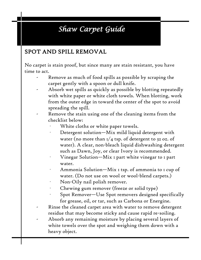### *Shaw Carpet Guide*

#### SPOT AND SPILL REMOVAL

No carpet is stain proof, but since many are stain resistant, you have time to act.

- Remove as much of food spills as possible by scraping the carpet gently with a spoon or dull knife.
- Absorb wet spills as quickly as possible by blotting repeatedly with white paper or white cloth towels. When blotting, work from the outer edge in toward the center of the spot to avoid spreading the spill.
- Remove the stain using one of the cleaning items from the checklist below:
	- White cloths or white paper towels.
	- Detergent solution—Mix mild liquid detergent with water (no more than  $1/4$  tsp. of detergent to 32 oz. of water). A clear, non-bleach liquid dishwashing detergent such as Dawn, Joy, or clear Ivory is recommended.
	- Vinegar Solution—Mix I part white vinegar to I part water.
	- Ammonia Solution—Mix I tsp. of ammonia to I cup of water. (Do not use on wool or wool-blend carpets.)
	- Non-Oily nail polish remover.
	- Chewing gum remover (freeze or solid type)
	- · Spot Remover—Use Spot removers designed specifically for grease, oil, or tar, such as Carbona or Energine.
- Rinse the cleaned carpet area with water to remove detergent residue that may become sticky and cause rapid re-soiling.
- Absorb any remaining moisture by placing several layers of white towels over the spot and weighing them down with a heavy object.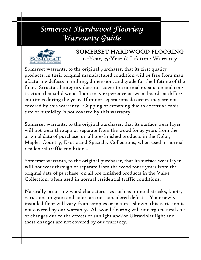### *Somerset Hardwood Flooring Warranty Guide*



#### SOMERSET HARDWOOD FLOORING 15-Year, 25-Year & Lifetime Warranty

Somerset warrants, to the original purchaser, that its first quality products, in their original manufactured condition will be free from manufacturing defects in milling, dimension, and grade for the lifetime of the floor. Structural integrity does not cover the normal expansion and contraction that solid wood floors may experience between boards at different times during the year. If minor separations do occur, they are not covered by this warranty. Cupping or crowning due to excessive moisture or humidity is not covered by this warranty.

Somerset warrants, to the original purchaser, that its surface wear layer will not wear through or separate from the wood for 25 years from the original date of purchase, on all pre-finished products in the Color, Maple, Country, Exotic and Specialty Collections, when used in normal residential traffic conditions.

Somerset warrants, to the original purchaser, that its surface wear layer will not wear through or separate from the wood for 15 years from the original date of purchase, on all pre-finished products in the Value Collection, when used in normal residential traffic conditions.

Naturally occurring wood characteristics such as mineral streaks, knots, variations in grain and color, are not considered defects. Your newly installed floor will vary from samples or pictures shown, this variation is not covered by our warranty. All wood flooring will undergo natural color changes due to the effects of sunlight and/or Ultraviolet light and these changes are not covered by our warranty.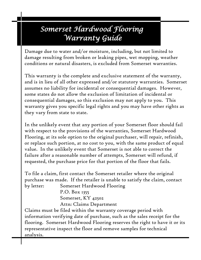### *Somerset Hardwood Flooring Warranty Guide*

Damage due to water and/or moisture, including, but not limited to damage resulting from broken or leaking pipes, wet mopping, weather conditions or natural disasters, is excluded from Somerset warranties.

This warranty is the complete and exclusive statement of the warranty, and is in lieu of all other expressed and/or statutory warranties. Somerset assumes no liability for incidental or consequential damages. However, some states do not allow the exclusion of limitation of incidental or consequential damages, so this exclusion may not apply to you. This warranty gives you specific legal rights and you may have other rights as they vary from state to state.

In the unlikely event that any portion of your Somerset floor should fail with respect to the provisions of the warranties, Somerset Hardwood Flooring, at its sole option to the original purchaser, will repair, refinish, or replace such portion, at no cost to you, with the same product of equal value. In the unlikely event that Somerset is not able to correct the failure after a reasonable number of attempts, Somerset will refund, if requested, the purchase price for that portion of the floor that fails.

To file a claim, first contact the Somerset retailer where the original purchase was made. If the retailer is unable to satisfy the claim, contact by letter: Somerset Hardwood Flooring

> P.O. Box 1355 Somerset, KY 42502 Attn: Claims Department

Claims must be filed within the warranty coverage period with information verifying date of purchase, such as the sales receipt for the flooring. Somerset Hardwood Flooring reserves the right to have it or its representative inspect the floor and remove samples for technical analysis.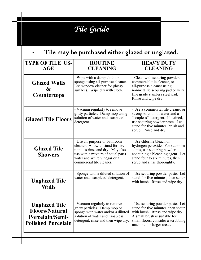## *Tile Guide*

### Tile may be purchased either glazed or unglazed.

| <b>TYPE OF TILE US-</b><br><b>AGE</b>                                                                | <b>ROUTINE</b><br><b>CLEANING</b>                                                                                                                                                                     | <b>HEAVY DUTY</b><br><b>CLEANING</b>                                                                                                                                                                          |
|------------------------------------------------------------------------------------------------------|-------------------------------------------------------------------------------------------------------------------------------------------------------------------------------------------------------|---------------------------------------------------------------------------------------------------------------------------------------------------------------------------------------------------------------|
| <b>Glazed Walls</b><br>&<br><b>Countertops</b>                                                       | - Wipe with a damp cloth or<br>sponge using all-purpose cleaner.<br>Use window cleaner for glossy<br>surfaces. Wipe dry with cloth.                                                                   | - Clean with scouring powder,<br>commercial tile cleaner, or<br>all-purpose cleaner using<br>nonmetallic scouring pad or very<br>fine grade stainless steel pad.<br>Rinse and wipe dry.                       |
| <b>Glazed Tile Floors</b>                                                                            | - Vacuum regularly to remove<br>gritty particles. Damp mop using<br>solution of water and "soapless"<br>detergent.                                                                                    | - Use a commercial tile cleaner or<br>strong solution of water and a<br>"soapless" detergent. If stained,<br>use scouring powder paste. Let<br>stand for five minutes, brush and<br>scrub. Rinse and dry.     |
| <b>Glazed Tile</b><br><b>Showers</b>                                                                 | - Use all-purpose or bathroom<br>cleaner. Allow to stand for five<br>minutes rinse and dry. May also<br>use with a mixture of equal parts<br>water and white vinegar or a<br>commercial tile cleaner. | - Use chlorine bleach or<br>hydrogen peroxide. For stubborn<br>stains, use scouring powder<br>containing a bleaching agent. Let<br>stand four to six minutes, then<br>scrub and rinse thoroughly.             |
| <b>Unglazed Tile</b><br><b>Walls</b>                                                                 | - Sponge with a diluted solution of<br>water and "soapless" detergent.                                                                                                                                | - Use scouring powder paste. Let<br>stand for five minutes, then scour<br>with brush. Rinse and wipe dry.                                                                                                     |
| <b>Unglazed Tile</b><br><b>Floors/Natural</b><br><b>Porcelain/Semi-</b><br><b>Polished Porcelain</b> | - Vacuum regularly to remove<br>gritty particles. Damp mop or<br>sponge with water and/or a diluted<br>solution of water and "soapless"<br>detergent, rinse and then wipe dry.                        | - Use scouring powder paste. Let<br>stand for five minutes, then scour<br>with brush. Rinse and wipe dry.<br>A small brush is suitable for<br>small floors; consider a scrubbing<br>machine for larger areas. |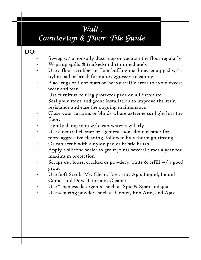### *Wall ,*

### *Countertop & Floor Tile Guide*

#### DO:

- Sweep  $w/$  a non-oily dust mop or vacuum the floor regularly
- Wipe up spills & tracked-in dirt immediately
- Use a floor scrubber or floor buffing machines equipped  $w/a$ nylon pad or brush for more aggressive cleaning
- Place rugs or floor mats on heavy traffic areas to avoid excess wear and tear
- Use furniture felt leg protector pads on all furniture
- Seal your stone and grout installation to improve the stain resistance and ease the ongoing maintenance
- Close your curtains or blinds where extreme sunlight hits the floor.
- Lightly damp mop  $w/$  clean water regularly
- Use a neutral cleaner or a general household cleaner for a more aggressive cleaning, followed by a thorough rinsing
- Or can scrub with a nylon pad or bristle brush
- Apply a silicone sealer to grout joints several times a year for maximum protection
- Scrape out loose, cracked or powdery joints & refill w/ a good grout
- Use Soft Scrub, Mr. Clean, Fantastic, Ajax Liquid, Liquid Comet and Dow Bathroom Cleaner
- Use "soapless detergents" such as Spic & Span and 409
- Use scouring powders such as Comet, Bon Ami, and Ajax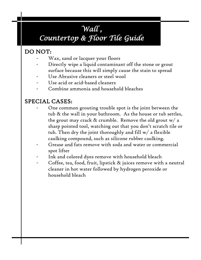### *Wall , Countertop & Floor Tile Guide*

### DO NOT:

- Wax, sand or lacquer your floors
- Directly wipe a liquid contaminant off the stone or grout surface because this will simply cause the stain to spread
- Use Abrasive cleaners or steel wool
- Use acid or acid-based cleaners
- Combine ammonia and household bleaches

#### SPECIAL CASES:

- One common grouting trouble spot is the joint between the tub & the wall in your bathroom. As the house or tub settles, the grout may crack  $\&$  crumble. Remove the old grout w/ a sharp pointed tool, watching out that you don't scratch tile or tub. Then dry the joint thoroughly and fill w/ a flexible caulking compound, such as silicone rubber caulking.
	- Grease and fats remove with soda and water or commercial spot lifter
- Ink and colored dyes remove with household bleach
- Coffee, tea, food, fruit, lipstick & juices remove with a neutral cleaner in hot water followed by hydrogen peroxide or household bleach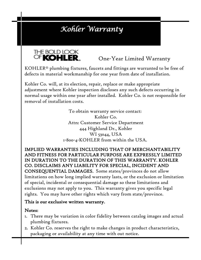### *Kohler Warranty*



One-Year Limited Warranty

KOHLER® plumbing fixtures, faucets and fittings are warranted to be free of defects in material workmanship for one year from date of installation.

Kohler Co. will, at its election, repair, replace or make appropriate adjustment where Kohler inspection discloses any such defects occurring in normal usage within one year after installed. Kohler Co. is not responsible for removal of installation costs.

> To obtain warranty service contact: Kohler Co. Attn: Customer Service Department 444 Highland Dr., Kohler WI 53044, USA 1-800-4-KOHLER from within the USA.

IMPLIED WARRANTIES INCLUDING THAT OF MERCHANTABILITY AND FITNESS FOR PARTICULAR PURPOSE ARE EXPRESSLY LIMITED IN DURATION TO THE DURATION OF THIS WARRANTY. KOHLER CO. DISCLAIMS ANY LIABILITY FOR SPECIAL, INCIDENT AND CONSEQUENTIAL DAMAGES. Some states/provinces do not allow limitations on how long implied warranty lasts, or the exclusion or limitation of special, incidental or consequential damage so these limitations and exclusions may not apply to you. This warranty gives you specific legal rights. You may have other rights which vary from state/province.

#### This is our exclusive written warranty.

#### Notes:

- 1. There may be variation in color fidelity between catalog images and actual plumbing fixtures.
- 2. Kohler Co. reserves the right to make changes in product characteristics, packaging or availability at any time with out notice.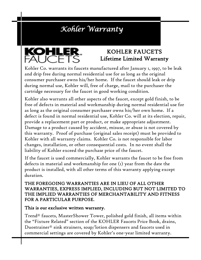### *Kohler Warranty*



#### KOHLER FAUCETS Lifetime Limited Warranty

Kohler Co. warrants its faucets manufactured after January 1, 1997, to be leak and drip free during normal residential use for as long as the original consumer purchaser owns his/her home. If the faucet should leak or drip during normal use, Kohler will, free of charge, mail to the purchaser the cartridge necessary for the faucet in good working condition.

Kohler also warrants all other aspects of the faucet, except gold finish, to be free of defects in material and workmanship during normal residential use for as long as the original consumer purchaser owns his/her own home. If a defect is found in normal residential use, Kohler Co. will at its election, repair, provide a replacement part or product, or make appropriate adjustment. Damage to a product caused by accident, misuse, or abuse is not covered by this warranty. Proof of purchase (original sales receipt) must be provided to Kohler with all warranty claims. Kohler Co. is not responsible for labor changes, installation, or other consequential costs. In no event shall the liability of Kohler exceed the purchase price of the faucet.

If the faucet is used commercially, Kohler warrants the faucet to be free from defects in material and workmanship for one (1) year from the date the product is installed, with all other terms of this warranty applying except duration.

THE FOREGOING WARRANTIES ARE IN LIEU OF ALL OTHER WARRANTIES, EXPRESS IMPLIED, INCLUDING BUT NOT LIMITED TO THE IMPLIED WARRANTIES OF MERCHANTABILITY AND FITNESS FOR A PARTICULAR PURPOSE.

This is our exclusive written warranty.

Trend® faucets, MasterShower Tower, polished gold finish, all items within the "Fixture Related" section of the KOHLER Faucets Price Book, drains, Duostrainer® sink strainers, soap/lotion dispensers and faucets used in commercial settings are covered by Kohler's one-year limited warranty.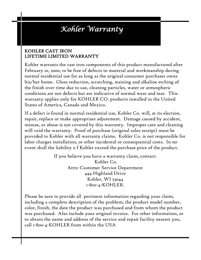### *Kohler Warranty*

#### KOHLER CAST IRON LIFETIME LIMITED WARRANTY Ī

Kohler warrants the cast iron components of this product manufactured after February 10, 2000, to be free of defects in material and workmanship during normal residential use for as long as the original consumer purchaser owns his/her home. Gloss reduction, scratching, staining and alkaline etching of the finish over time due to use, cleaning particles, water or atmospheric conditions are not defects but are indicative of normal wear and tear. This warranty applies only for KOHLER CO. products installed in the United States of America, Canada and Mexico.

If a defect is found in normal residential use, Kohler Co. will, at its election, repair, replace or make appropriate adjustment. Damage caused by accident, misuse, or abuse is not covered by this warranty. Improper care and cleaning will void the warranty. Proof of purchase (original sales receipt) must be provided to Kohler with all warranty claims. Kohler Co. is not responsible for labor charges installation, or other incidental or consequential costs. In no event shall the liability o f Kohler exceed the purchase price of the product.

> If you believe you have a warranty claim, contact: Kohler Co. Attn: Customer Service Department 444 Highland Drive Kohler, WI 53044 1-800-4-KOHLER.

Please be sure to provide all pertinent information regarding your claim, including a complete description of the problem, the product model number, color, finish, the date the product was purchased and from whom the product was purchased. Also include your original invoice. For other information, or to obtain the name and address of the service and repair facility nearest you, call 1-800-4-KOHLER from within the USA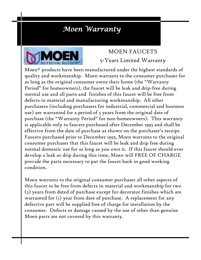### *Moen Warranty*



#### MOEN FAUCETS 5-Years Limited Warranty

Moen® products have been manufactured under the highest standards of quality and workmanship. Moen warrants to the consumer purchaser for as long as the original consumer owns their home (the "Warranty Period" for homeowners), the faucet will be leak and drip-free during normal use and all parts and finishes of this faucet will be free from defects in material and manufacturing workmanship. All other purchasers (including purchasers for industrial, commercial and business use) are warranted for a period of 5 years from the original date of purchase (the "Warranty Period" for non-homeowners). This warranty is applicable only to faucets purchased after December 1995 and shall be effective from the date of purchase as shown on the purchaser's receipt. Faucets purchased prior to December 1995, Moen warrants to the original consumer purchaser that this faucet will be leak and drip free during normal domestic use for as long as you own it. If this faucet should ever develop a leak or drip during this time, Moen will FREE OF CHARGE provide the parts necessary to put the faucet back in good working condition.

Moen warrants to the original consumer purchaser all other aspects of this faucet to be free from defects in material and workmanship for two (2) years from dated of purchase except for decorator finishes which are warranted for (1) year from date of purchase. A replacement for any defective part will be supplied free of charge for installation by the consumer. Defects or damage caused by the use of other than genuine Moen parts are not covered by this warranty.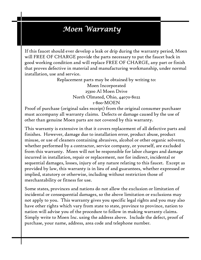### *Moen Warranty*

If this faucet should ever develop a leak or drip during the warranty period, Moen will FREE OF CHARGE provide the parts necessary to put the faucet back in good working condition and will replace FREE OF CHARGE, any part or finish that proves defective in material and manufacturing workmanship, under normal installation, use and service.

> Replacement parts may be obtained by writing to: Moen Incorporated

25300 Al Moen Drive North Olmsted, Ohio, 44070-8022 1-800-MOEN

Proof of purchase (original sales receipt) from the original consumer purchaser must accompany all warranty claims. Defects or damage caused by the use of other than genuine Moen parts are not covered by this warranty.

This warranty is extensive in that it covers replacement of all defective parts and finishes. However, damage due to installation error, product abuse, product misuse, or use of cleaners containing abrasives, alcohol or other organic solvents, whether performed by a contractor, service company, or yourself, are excluded from this warranty. Moen will not be responsible for labor charges and damage incurred in installation, repair or replacement, nor for indirect, incidental or sequential damages, losses, injury of any nature relating to this faucet. Except as provided by law, this warranty is in lieu of and guarantees, whether expressed or implied, statutory or otherwise, including without restriction those of merchantability or fitness for use.

Some states, provinces and nations do not allow the exclusion or limitation of incidental or consequential damages, so the above limitation or exclusions may not apply to you. This warranty gives you specific legal rights and you may also have other rights which vary from state to state, province to province, nation to nation will advise you of the procedure to follow in making warranty claims. Simply write to Moen Inc. using the address above. Include the defect, proof of purchase, your name, address, area code and telephone number.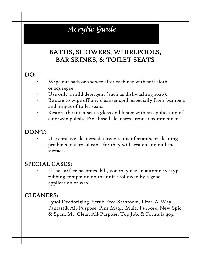### *Acrylic Guide*

#### BATHS, SHOWERS, WHIRLPOOLS, BAR SKINKS, & TOILET SEATS

#### DO:

- Wipe out bath or shower after each use with soft cloth or squeegee.
- Use only a mild detergent (such as dishwashing soap).
- Be sure to wipe off any cleanser spill, especially from bumpers and hinges of toilet seats.
- Restore the toilet seat's gloss and luster with an application of a no-wax polish. Pine based cleansers arenot recommended.

#### DON'T:

Use abrasive cleaners, detergents, disinfectants, or cleaning products in aerosol cans, for they will scratch and dull the surface.

#### SPECIAL CASES:

If the surface becomes dull, you may use an automotive type rubbing compound on the unit - followed by a good application of wax.

#### CLEANERS:

Lysol Deodorizing, Scrub-Free Bathroom, Lime-A-Way, Fantastik All-Purpose, Pine Magic Multi-Purpose, New Spic & Span, Mr. Clean All-Purpose, Top Job, & Formula 409.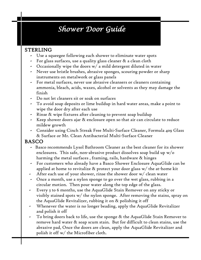### *Shower Door Guide*

#### STERLING

- Use a squeegee following each shower to eliminate water spots
- For glass surfaces, use a quality glass cleaner & a clean cloth
- Occasionally wipe the doors w/ a mild detergent diluted in water
- Never use bristle brushes, abrasive sponges, scouring powder or sharp instruments on metalwork or glass panels
- For metal surfaces, never use abrasive cleansers or cleaners containing ammonia, bleach, acids, waxes, alcohol or solvents as they may damage the finish
- Do not let cleaners sit or soak on surfaces
- To avoid soap deposits or lime buildup in hard water areas, make a point to wipe the door dry after each use
- Rinse & wipe fixtures after cleaning to prevent soap buildup
- Keep shower doors ajar & enclosure open so that air can circulate to reduce mildew growth
- Consider using Cinch Streak Free Multi-Surface Cleaner, Formula 409 Glass & Surface or Mr. Clean Antibacterial Multi-Surface Cleaner

#### BASCO

- Basco recommends Lysol Bathroom Cleaner as the best cleaner for its shower enclosures. This safe, non-abrasive product dissolves soap build up  $w/o$ harming the metal surfaces , framing, rails, hardware & hinges
- For customers who already have a Basco Shower Enclosure AquaGlide can be applied at home to revitalize & protect your door glass w/ the at-home kit
- After each use of your shower, rinse the shower door  $w/$  clean water
- Once a month, use a nylon sponge to go over the wet glass, rubbing in a circular motion. Then pour water along the top edge of the glass.
- Every 3 to 6 months, use the AquaGlide Stain Remover on any sticky or visibly stained spots w/ the nylon sponge. After removing the stains, spray on the AquaGlide Revitalizer, rubbing it on & polishing it off
- Whenever the water is no longer beading, apply the AquaGlide Revitalizer and polish it off
- To bring doors back to life, use the sponge & the AquaGlide Stain Remover to remove hard water & soap scum stain. But for difficult to clean stains, use the abrasive pad, Once the doors are clean, apply the AquaGlide Revitalizer and polish it off w/ the Microfiber cloth.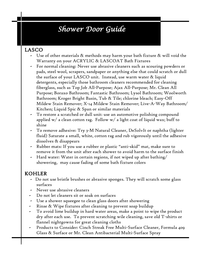### *Shower Door Guide*

#### LASCO

- Use of other materials & methods may harm your bath fixture & will void the Warranty on your ACRYLIC & LASCOAT Bath Fixtures
- For normal cleaning: Never use abrasive cleaners such as scouring powders or pads, steel wool, scrapers, sandpaper or anything else that could scratch or dull the surface of your LASCO unit. Instead, use warm water & liquid detergents, especially those bathroom cleaners recommended for cleaning fiberglass, such as Top Job All-Purpose; Ajax All-Purpose; Mr. Clean All Purpose; Boraxo Bathroom; Fantastic Bathroom; Lysol Bathroom; Woolworth Bathroom; Kroger Bright Basin, Tub & Tile; chlorine bleach; Easy-Off Mildew Stain Remover; X-14 Mildew Stain Remover; Live-A-Way Bathroom/ Kitchen; Liquid Spic & Span or similar materials
- To restore a scratched or dull unit: use an automotive polishing compound applied w/ a clean cotton rag. Follow w/ a light coat of liquid wax; buff to shine
- To remove adhesive: Try 3-M Natural Cleaner, DeSolvIt or naphtha (lighter fluid) Saturate a small, white, cotton rag and rub vigorously until the adhesive dissolves & disappears
- Rubber mats: If you use a rubber or plastic "anti-skid" mat, make sure to remove it from the unit after each shower to avoid harm to the surface finish
- Hard water: Water in certain regions, if not wiped up after bathing/ showering, may cause fading of some bath fixture colors

#### KOHLER

- Do not use bristle brushes or abrasive sponges. They will scratch some glass surfaces
- Never use abrasive cleaners
- Do not let cleaners sit or soak on surfaces
- Use a shower squeegee to clean glass doors after showering
- Rinse & Wipe fixtures after cleaning to prevent soap buildup
- To avoid lime buildup in hard water areas, make a point to wipe the product dry after each use. To prevent scratching wile cleaning, save old T-shirts or flannel nightgowns for great cleaning cloths
- Products to Consider: Cinch Streak Free Multi-Surface Cleaner, Formula 409 Glass & Surface or Mr. Clean Antibacterial Multi-Surface Spray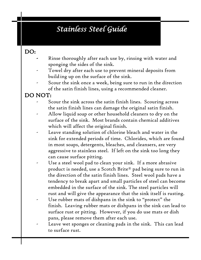### *Stainless Steel Guide*

#### DO:

- Rinse thoroughly after each use by, rinsing with water and sponging the sides of the sink.
- Towel dry after each use to prevent mineral deposits from building up on the surface of the sink.
- Scour the sink once a week, being sure to run in the direction of the satin finish lines, using a recommended cleaner.

#### DO NOT:

- Scour the sink across the satin finish lines. Scouring across the satin finish lines can damage the original satin finish.
- Allow liquid soap or other household cleaners to dry on the surface of the sink. Most brands contain chemical additives which will affect the original finish.
- Leave standing solution of chlorine bleach and water in the sink for extended periods of time. Chlorides, which are found in most soaps, detergents, bleaches, and cleansers, are very aggressive to stainless steel. If left on the sink too long they can cause surface pitting.
- Use a steel wool pad to clean your sink. If a more abrasive product is needed, use a Scotch Brite® pad being sure to run in the direction of the satin finish lines. Steel wool pads have a tendency to break apart and small particles of steel can become embedded in the surface of the sink. The steel particles will rust and will give the appearance that the sink itself is rusting.
- Use rubber mats of dishpans in the sink to "protect" the finish. Leaving rubber mats or dishpans in the sink can lead to surface rust or pitting. However, if you do use mats or dish pans, please remove them after each use.
- Leave wet sponges or cleaning pads in the sink. This can lead to surface rust.